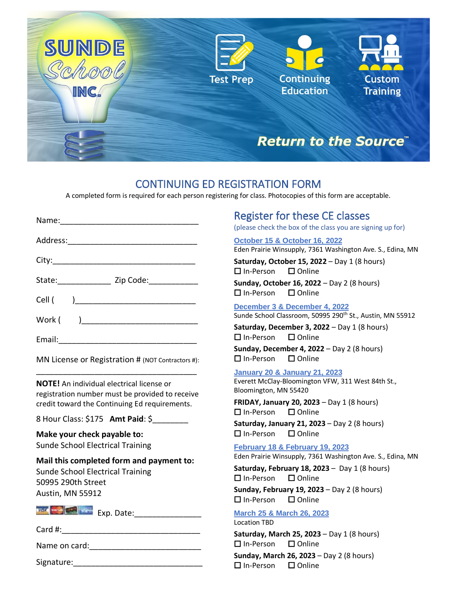

### CONTINUING ED REGISTRATION FORM

A completed form is required for each person registering for class. Photocopies of this form are acceptable.

|                                                                                                     | <b>Register for these CE classes</b><br>(please check the box of the class you are signing up for)                      |
|-----------------------------------------------------------------------------------------------------|-------------------------------------------------------------------------------------------------------------------------|
|                                                                                                     | October 15 & October 16, 2022<br>Eden Prairie Winsupply, 7361 Washington Ave. S., Edina, MN                             |
|                                                                                                     | Saturday, October 15, 2022 - Day 1 (8 hours)<br>$\Box$ In-Person $\Box$ Online                                          |
| State: Zip Code:                                                                                    | Sunday, October 16, 2022 - Day 2 (8 hours)<br>$\Box$ In-Person<br>$\square$ Online                                      |
| Work (                                                                                              | December 3 & December 4, 2022<br>Sunde School Classroom, 50995 290 <sup>th</sup> St., Austin, MN 55912                  |
|                                                                                                     | Saturday, December 3, 2022 - Day 1 (8 hours)<br>$\Box$ In-Person<br>$\Box$ Online                                       |
| MN License or Registration # (NOT Contractors #):                                                   | <b>Sunday, December 4, 2022</b> - Day 2 (8 hours)<br>$\Box$ In-Person<br>$\Box$ Online                                  |
| <b>NOTE!</b> An individual electrical license or<br>registration number must be provided to receive | <b>January 20 &amp; January 21, 2023</b><br>Everett McClay-Bloomington VFW, 311 West 84th St.,<br>Bloomington, MN 55420 |
| credit toward the Continuing Ed requirements.                                                       | FRIDAY, January 20, 2023 - Day 1 (8 hours)<br>$\Box$ In-Person<br>$\Box$ Online                                         |
| 8 Hour Class: \$175 Amt Paid: \$                                                                    | Saturday, January 21, 2023 - Day 2 (8 hours)                                                                            |
| Make your check payable to:                                                                         | $\Box$ Online<br>$\Box$ In-Person                                                                                       |
| <b>Sunde School Electrical Training</b>                                                             | February 18 & February 19, 2023<br>Eden Prairie Winsupply, 7361 Washington Ave. S., Edina, MN                           |
| Mail this completed form and payment to:<br>Sunde School Electrical Training<br>50995 290th Street  | Saturday, February 18, 2023 - Day 1 (8 hours)<br>$\Box$ In-Person<br>$\square$ Online                                   |
| Austin, MN 55912                                                                                    | Sunday, February 19, 2023 - Day 2 (8 hours)<br>$\Box$ In-Person<br>$\square$ Online                                     |
|                                                                                                     | <b>March 25 &amp; March 26, 2023</b><br><b>Location TBD</b>                                                             |
|                                                                                                     | Saturday, March 25, 2023 - Day 1 (8 hours)                                                                              |
|                                                                                                     | $\Box$ In-Person<br>$\Box$ Online<br>Sunday, March 26, 2023 - Day 2 (8 hours)                                           |
|                                                                                                     |                                                                                                                         |

In-Person Online

Signature: